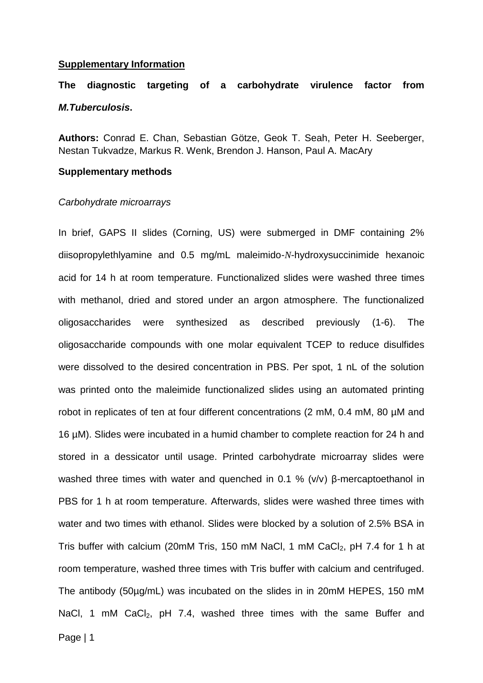#### **Supplementary Information**

# **The diagnostic targeting of a carbohydrate virulence factor from**  *M.Tuberculosis***.**

**Authors:** Conrad E. Chan, Sebastian Götze, Geok T. Seah, Peter H. Seeberger, Nestan Tukvadze, Markus R. Wenk, Brendon J. Hanson, Paul A. MacAry

#### **Supplementary methods**

#### *Carbohydrate microarrays*

In brief, GAPS II slides (Corning, US) were submerged in DMF containing 2% diisopropylethlyamine and 0.5 mg/mL maleimido-*N*-hydroxysuccinimide hexanoic acid for 14 h at room temperature. Functionalized slides were washed three times with methanol, dried and stored under an argon atmosphere. The functionalized oligosaccharides were synthesized as described previously (1-6). The oligosaccharide compounds with one molar equivalent TCEP to reduce disulfides were dissolved to the desired concentration in PBS. Per spot, 1 nL of the solution was printed onto the maleimide functionalized slides using an automated printing robot in replicates of ten at four different concentrations (2 mM, 0.4 mM, 80 µM and 16 µM). Slides were incubated in a humid chamber to complete reaction for 24 h and stored in a dessicator until usage. Printed carbohydrate microarray slides were washed three times with water and quenched in 0.1 % (v/v) β-mercaptoethanol in PBS for 1 h at room temperature. Afterwards, slides were washed three times with water and two times with ethanol. Slides were blocked by a solution of 2.5% BSA in Tris buffer with calcium (20mM Tris, 150 mM NaCl, 1 mM CaCl<sub>2</sub>, pH 7.4 for 1 h at room temperature, washed three times with Tris buffer with calcium and centrifuged. The antibody (50µg/mL) was incubated on the slides in in 20mM HEPES, 150 mM NaCl, 1 mM CaCl<sub>2</sub>, pH 7.4, washed three times with the same Buffer and

Page | 1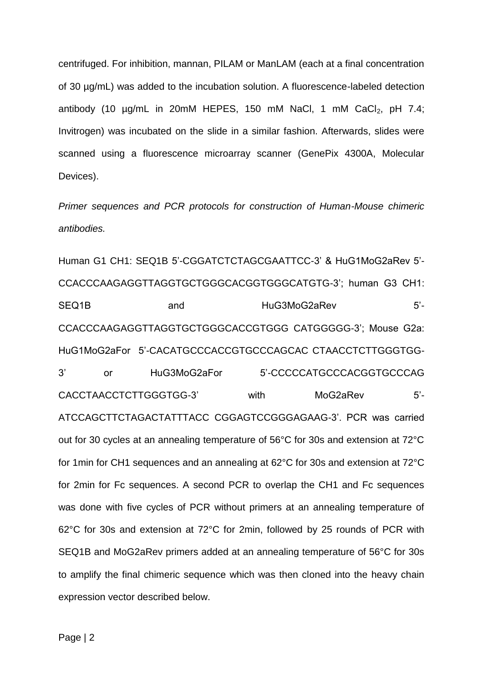centrifuged. For inhibition, mannan, PILAM or ManLAM (each at a final concentration of 30 µg/mL) was added to the incubation solution. A fluorescence-labeled detection antibody (10  $\mu$ g/mL in 20mM HEPES, 150 mM NaCl, 1 mM CaCl<sub>2</sub>, pH 7.4; Invitrogen) was incubated on the slide in a similar fashion. Afterwards, slides were scanned using a fluorescence microarray scanner (GenePix 4300A, Molecular Devices).

*Primer sequences and PCR protocols for construction of Human-Mouse chimeric antibodies.*

Human G1 CH1: SEQ1B 5'-CGGATCTCTAGCGAATTCC-3' & HuG1MoG2aRev 5'- CCACCCAAGAGGTTAGGTGCTGGGCACGGTGGGCATGTG-3'; human G3 CH1: SEQ1B and HuG3MoG2aRev 5'-CCACCCAAGAGGTTAGGTGCTGGGCACCGTGGG CATGGGGG-3'; Mouse G2a: HuG1MoG2aFor 5'-CACATGCCCACCGTGCCCAGCAC CTAACCTCTTGGGTGG-3' or HuG3MoG2aFor 5'-CCCCCATGCCCACGGTGCCCAG CACCTAACCTCTTGGGTGG-3' with MoG2aRev 5'- ATCCAGCTTCTAGACTATTTACC CGGAGTCCGGGAGAAG-3'. PCR was carried out for 30 cycles at an annealing temperature of 56°C for 30s and extension at 72°C for 1min for CH1 sequences and an annealing at 62°C for 30s and extension at 72°C for 2min for Fc sequences. A second PCR to overlap the CH1 and Fc sequences was done with five cycles of PCR without primers at an annealing temperature of 62°C for 30s and extension at 72°C for 2min, followed by 25 rounds of PCR with SEQ1B and MoG2aRev primers added at an annealing temperature of 56°C for 30s to amplify the final chimeric sequence which was then cloned into the heavy chain expression vector described below.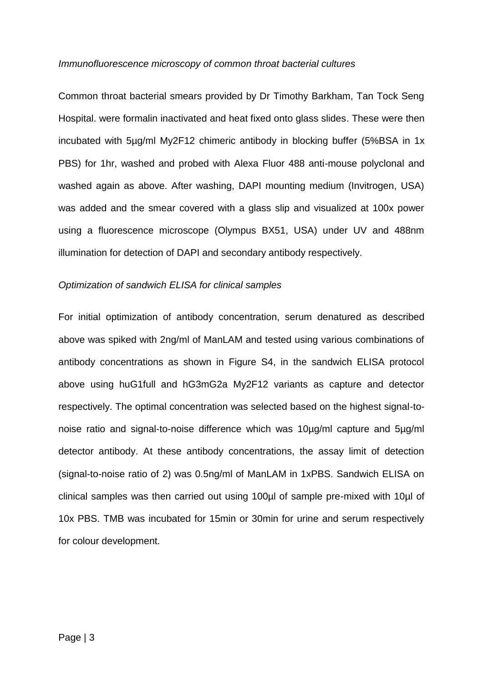#### *Immunofluorescence microscopy of common throat bacterial cultures*

Common throat bacterial smears provided by Dr Timothy Barkham, Tan Tock Seng Hospital. were formalin inactivated and heat fixed onto glass slides. These were then incubated with 5µg/ml My2F12 chimeric antibody in blocking buffer (5%BSA in 1x PBS) for 1hr, washed and probed with Alexa Fluor 488 anti-mouse polyclonal and washed again as above. After washing, DAPI mounting medium (Invitrogen, USA) was added and the smear covered with a glass slip and visualized at 100x power using a fluorescence microscope (Olympus BX51, USA) under UV and 488nm illumination for detection of DAPI and secondary antibody respectively.

#### *Optimization of sandwich ELISA for clinical samples*

For initial optimization of antibody concentration, serum denatured as described above was spiked with 2ng/ml of ManLAM and tested using various combinations of antibody concentrations as shown in Figure S4, in the sandwich ELISA protocol above using huG1full and hG3mG2a My2F12 variants as capture and detector respectively. The optimal concentration was selected based on the highest signal-tonoise ratio and signal-to-noise difference which was 10µg/ml capture and 5µg/ml detector antibody. At these antibody concentrations, the assay limit of detection (signal-to-noise ratio of 2) was 0.5ng/ml of ManLAM in 1xPBS. Sandwich ELISA on clinical samples was then carried out using 100µl of sample pre-mixed with 10µl of 10x PBS. TMB was incubated for 15min or 30min for urine and serum respectively for colour development.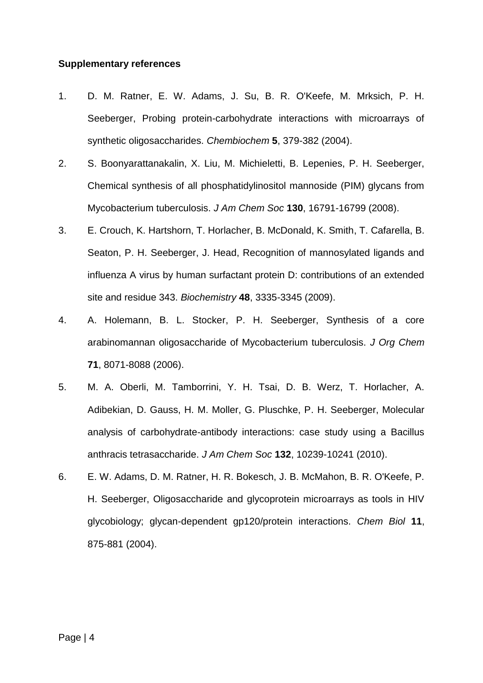#### **Supplementary references**

- 1. D. M. Ratner, E. W. Adams, J. Su, B. R. O'Keefe, M. Mrksich, P. H. Seeberger, Probing protein-carbohydrate interactions with microarrays of synthetic oligosaccharides. *Chembiochem* **5**, 379-382 (2004).
- 2. S. Boonyarattanakalin, X. Liu, M. Michieletti, B. Lepenies, P. H. Seeberger, Chemical synthesis of all phosphatidylinositol mannoside (PIM) glycans from Mycobacterium tuberculosis. *J Am Chem Soc* **130**, 16791-16799 (2008).
- 3. E. Crouch, K. Hartshorn, T. Horlacher, B. McDonald, K. Smith, T. Cafarella, B. Seaton, P. H. Seeberger, J. Head, Recognition of mannosylated ligands and influenza A virus by human surfactant protein D: contributions of an extended site and residue 343. *Biochemistry* **48**, 3335-3345 (2009).
- 4. A. Holemann, B. L. Stocker, P. H. Seeberger, Synthesis of a core arabinomannan oligosaccharide of Mycobacterium tuberculosis. *J Org Chem* **71**, 8071-8088 (2006).
- 5. M. A. Oberli, M. Tamborrini, Y. H. Tsai, D. B. Werz, T. Horlacher, A. Adibekian, D. Gauss, H. M. Moller, G. Pluschke, P. H. Seeberger, Molecular analysis of carbohydrate-antibody interactions: case study using a Bacillus anthracis tetrasaccharide. *J Am Chem Soc* **132**, 10239-10241 (2010).
- 6. E. W. Adams, D. M. Ratner, H. R. Bokesch, J. B. McMahon, B. R. O'Keefe, P. H. Seeberger, Oligosaccharide and glycoprotein microarrays as tools in HIV glycobiology; glycan-dependent gp120/protein interactions. *Chem Biol* **11**, 875-881 (2004).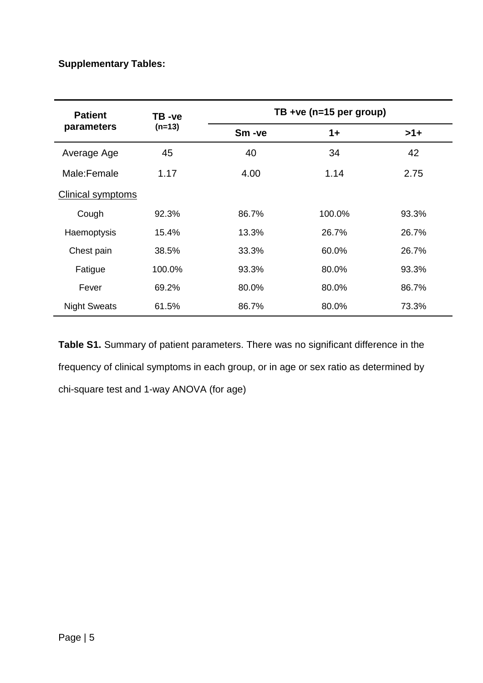## **Supplementary Tables:**

| <b>Patient</b><br>parameters | TB -ve<br>$(n=13)$ | TB +ve (n=15 per group) |        |       |
|------------------------------|--------------------|-------------------------|--------|-------|
|                              |                    | Sm-ve                   | $1+$   | $>1+$ |
| Average Age                  | 45                 | 40                      | 34     | 42    |
| Male:Female                  | 1.17               | 4.00                    | 1.14   | 2.75  |
| <b>Clinical symptoms</b>     |                    |                         |        |       |
| Cough                        | 92.3%              | 86.7%                   | 100.0% | 93.3% |
| Haemoptysis                  | 15.4%              | 13.3%                   | 26.7%  | 26.7% |
| Chest pain                   | 38.5%              | 33.3%                   | 60.0%  | 26.7% |
| Fatigue                      | 100.0%             | 93.3%                   | 80.0%  | 93.3% |
| Fever                        | 69.2%              | 80.0%                   | 80.0%  | 86.7% |
| <b>Night Sweats</b>          | 61.5%              | 86.7%                   | 80.0%  | 73.3% |

**Table S1.** Summary of patient parameters. There was no significant difference in the frequency of clinical symptoms in each group, or in age or sex ratio as determined by chi-square test and 1-way ANOVA (for age)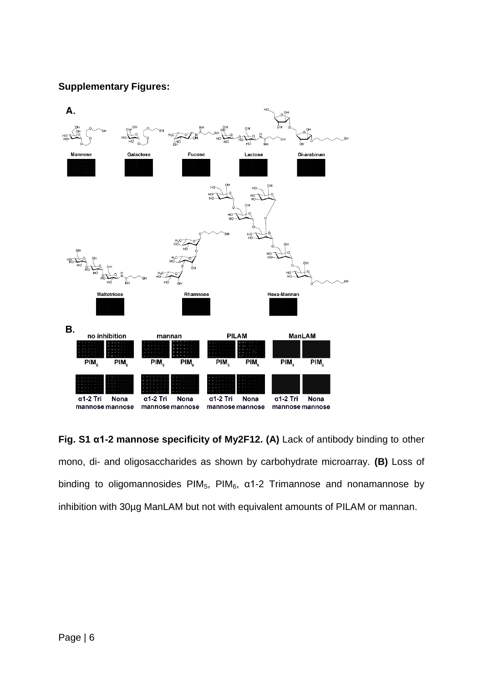### **Supplementary Figures:**



**Fig. S1 α1-2 mannose specificity of My2F12. (A)** Lack of antibody binding to other mono, di- and oligosaccharides as shown by carbohydrate microarray. **(B)** Loss of binding to oligomannosides  $PIM_5$ ,  $PIM_6$ ,  $\alpha$ 1-2 Trimannose and nonamannose by inhibition with 30µg ManLAM but not with equivalent amounts of PILAM or mannan.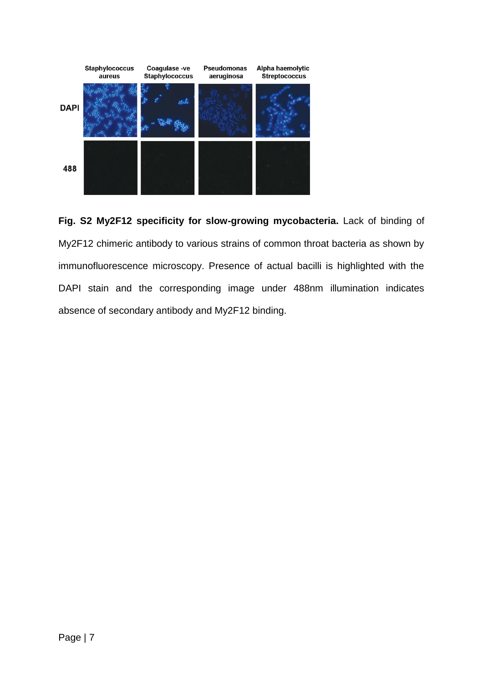

**Fig. S2 My2F12 specificity for slow-growing mycobacteria.** Lack of binding of My2F12 chimeric antibody to various strains of common throat bacteria as shown by immunofluorescence microscopy. Presence of actual bacilli is highlighted with the DAPI stain and the corresponding image under 488nm illumination indicates absence of secondary antibody and My2F12 binding.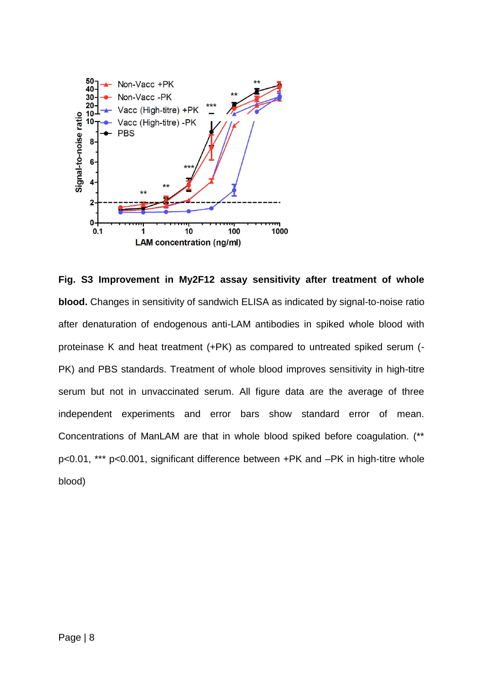

**Fig. S3 Improvement in My2F12 assay sensitivity after treatment of whole blood.** Changes in sensitivity of sandwich ELISA as indicated by signal-to-noise ratio after denaturation of endogenous anti-LAM antibodies in spiked whole blood with proteinase K and heat treatment (+PK) as compared to untreated spiked serum (- PK) and PBS standards. Treatment of whole blood improves sensitivity in high-titre serum but not in unvaccinated serum. All figure data are the average of three independent experiments and error bars show standard error of mean. Concentrations of ManLAM are that in whole blood spiked before coagulation. (\*\* p<0.01, \*\*\* p<0.001, significant difference between +PK and –PK in high-titre whole blood)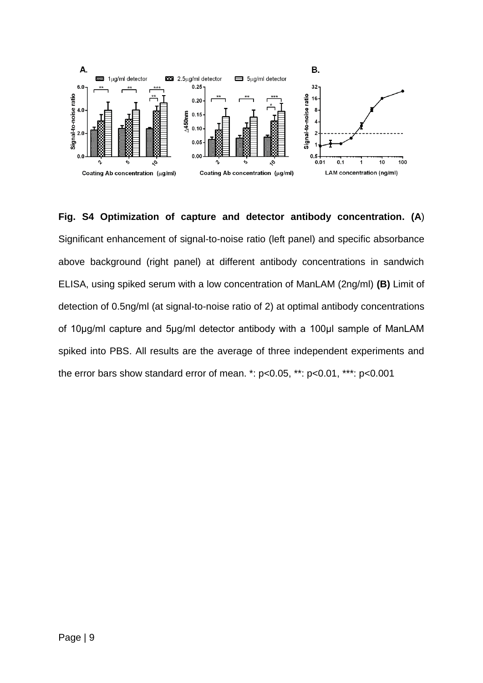

**Fig. S4 Optimization of capture and detector antibody concentration. (A**) Significant enhancement of signal-to-noise ratio (left panel) and specific absorbance above background (right panel) at different antibody concentrations in sandwich ELISA, using spiked serum with a low concentration of ManLAM (2ng/ml) **(B)** Limit of detection of 0.5ng/ml (at signal-to-noise ratio of 2) at optimal antibody concentrations of 10μg/ml capture and 5μg/ml detector antibody with a 100μl sample of ManLAM spiked into PBS. All results are the average of three independent experiments and the error bars show standard error of mean. \*: p<0.05, \*\*: p<0.01, \*\*\*: p<0.001